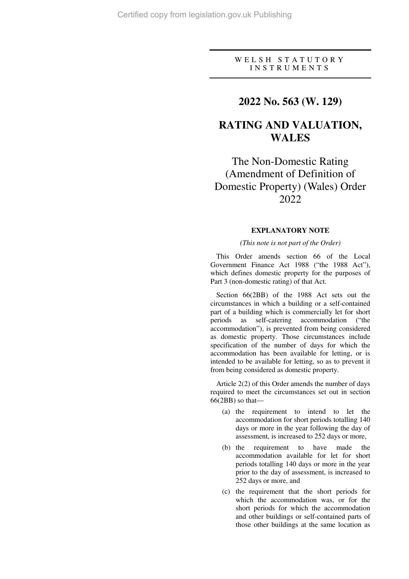### W E L S H S T A T U T O R Y I N S T R U M E N T S

## **2022 No. 563 (W. 129)**

# **RATING AND VALUATION, WALES**

The Non-Domestic Rating (Amendment of Definition of Domestic Property) (Wales) Order 2022

### **EXPLANATORY NOTE**

#### *(This note is not part of the Order)*

This Order amends section 66 of the Local Government Finance Act 1988 ("the 1988 Act"), which defines domestic property for the purposes of Part 3 (non-domestic rating) of that Act.

Section 66(2BB) of the 1988 Act sets out the circumstances in which a building or a self-contained part of a building which is commercially let for short periods as self-catering accommodation ("the accommodation"), is prevented from being considered as domestic property. Those circumstances include specification of the number of days for which the accommodation has been available for letting, or is intended to be available for letting, so as to prevent it from being considered as domestic property.

Article 2(2) of this Order amends the number of days required to meet the circumstances set out in section 66(2BB) so that—

- (a) the requirement to intend to let the accommodation for short periods totalling 140 days or more in the year following the day of assessment, is increased to 252 days or more,
- (b) the requirement to have made the accommodation available for let for short periods totalling 140 days or more in the year prior to the day of assessment, is increased to 252 days or more, and
- (c) the requirement that the short periods for which the accommodation was, or for the short periods for which the accommodation and other buildings or self-contained parts of those other buildings at the same location as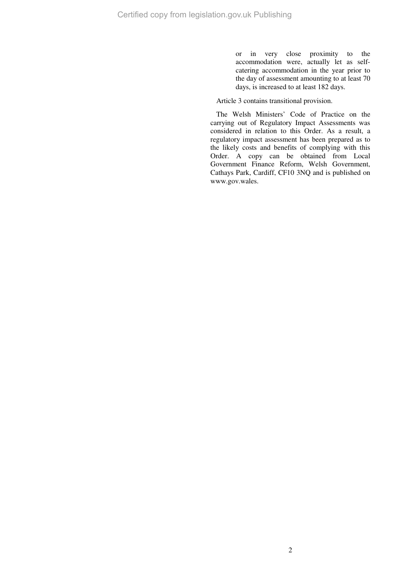or in very close proximity to the accommodation were, actually let as selfcatering accommodation in the year prior to the day of assessment amounting to at least 70 days, is increased to at least 182 days.

Article 3 contains transitional provision.

The Welsh Ministers' Code of Practice on the carrying out of Regulatory Impact Assessments was considered in relation to this Order. As a result, a regulatory impact assessment has been prepared as to the likely costs and benefits of complying with this Order. A copy can be obtained from Local Government Finance Reform, Welsh Government, Cathays Park, Cardiff, CF10 3NQ and is published on www.gov.wales.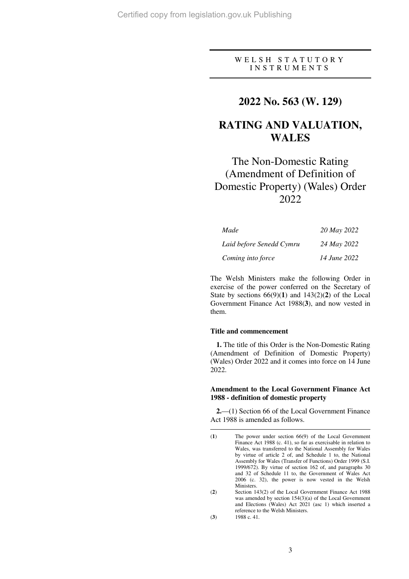### WELSH STATUTORY I N S T R U M E N T S

## **2022 No. 563 (W. 129)**

# **RATING AND VALUATION, WALES**

# The Non-Domestic Rating (Amendment of Definition of Domestic Property) (Wales) Order 2022

| Made                     | 20 May 2022  |
|--------------------------|--------------|
| Laid before Senedd Cymru | 24 May 2022  |
| Coming into force        | 14 June 2022 |

The Welsh Ministers make the following Order in exercise of the power conferred on the Secretary of State by sections  $66(9)(1)$  and  $143(2)(2)$  of the Local Government Finance Act 1988(**3**), and now vested in them.

#### **Title and commencement**

**1.** The title of this Order is the Non-Domestic Rating (Amendment of Definition of Domestic Property) (Wales) Order 2022 and it comes into force on 14 June 2022.

### **Amendment to the Local Government Finance Act 1988 - definition of domestic property**

**2.**—(1) Section 66 of the Local Government Finance Act 1988 is amended as follows.

 $\overline{a}$ 

<sup>(</sup>**1**) The power under section 66(9) of the Local Government Finance Act 1988 (c. 41), so far as exercisable in relation to Wales, was transferred to the National Assembly for Wales by virtue of article 2 of, and Schedule 1 to, the National Assembly for Wales (Transfer of Functions) Order 1999 (S.I. 1999/672). By virtue of section 162 of, and paragraphs 30 and 32 of Schedule 11 to, the Government of Wales Act 2006 (c. 32), the power is now vested in the Welsh Ministers.

<sup>(</sup>**2**) Section 143(2) of the Local Government Finance Act 1988 was amended by section 154(3)(a) of the Local Government and Elections (Wales) Act 2021 (asc 1) which inserted a reference to the Welsh Ministers. (**3**) 1988 c. 41.